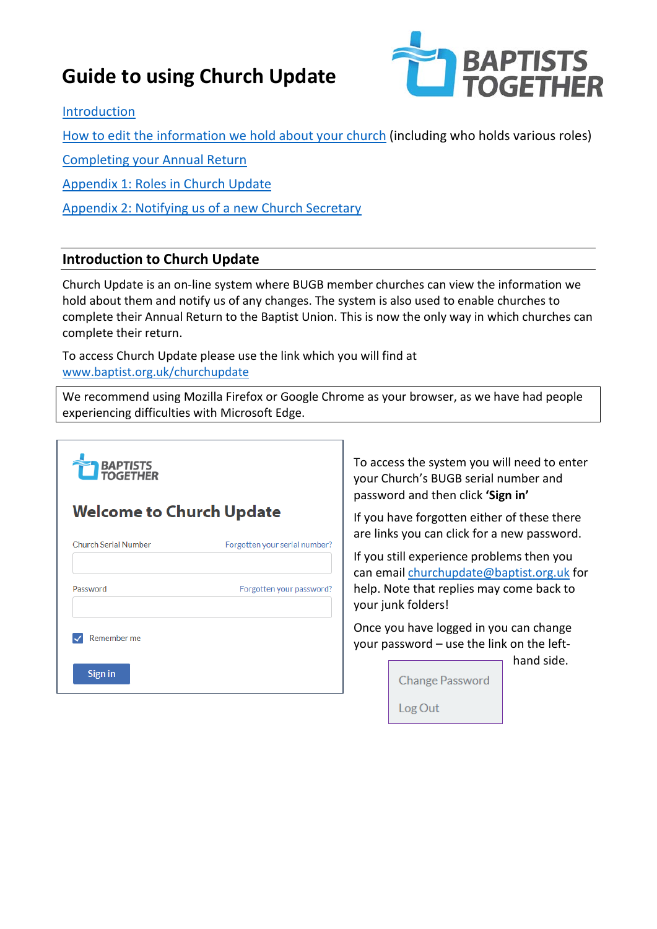# **Guide to using Church Update**



#### **[Introduction](#page-0-0)**

[How to edit the information we hold about your church](#page-0-1) (including who holds various roles)

[Completing your Annual Return](#page-2-0)

Appendix [1: Roles in Church Update](#page-4-0)

Appendix 2: Notifying us of a new Church Secretary

### <span id="page-0-0"></span>**Introduction to Church Update**

Church Update is an on-line system where BUGB member churches can view the information we hold about them and notify us of any changes. The system is also used to enable churches to complete their Annual Return to the Baptist Union. This is now the only way in which churches can complete their return.

To access Church Update please use the link which you will find at [www.baptist.org.uk/churchupdate](http://www.baptist.org.uk/churchupdate)

We recommend using Mozilla Firefox or Google Chrome as your browser, as we have had people experiencing difficulties with Microsoft Edge.

<span id="page-0-1"></span>

To access the system you will need to enter your Church's BUGB serial number and password and then click **'Sign in'**

If you have forgotten either of these there are links you can click for a new password.

If you still experience problems then you can email [churchupdate@baptist.org.uk](mailto:churchupdate@baptist.org.uk) for help. Note that replies may come back to your junk folders!

Once you have logged in you can change your password – use the link on the left-

hand side.

**Change Password** Log Out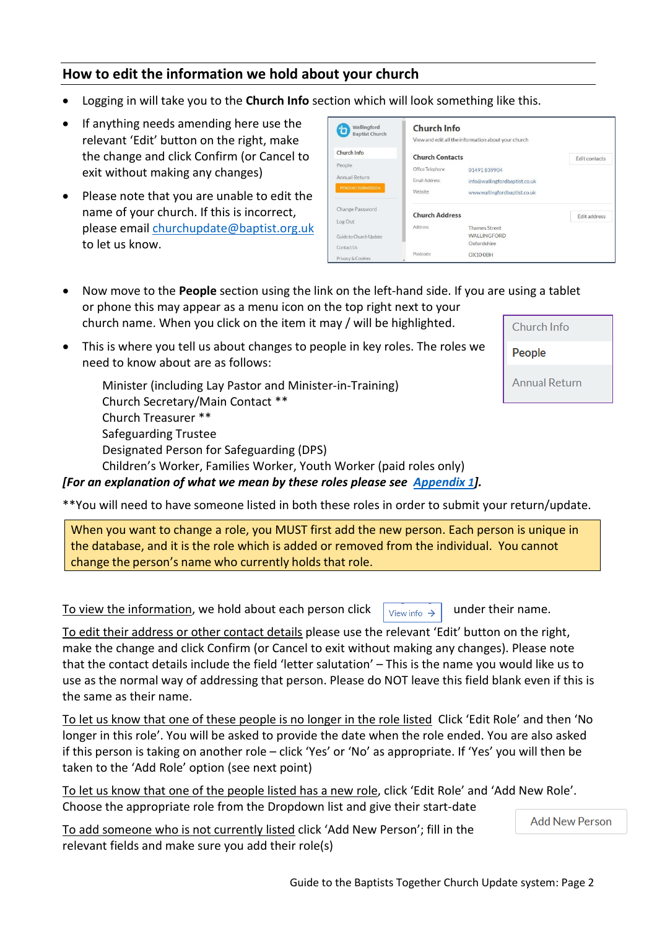## **How to edit the information we hold about your church**

- Logging in will take you to the **Church Info** section which will look something like this.
- If anything needs amending here use the relevant 'Edit' button on the right, make the change and click Confirm (or Cancel to exit without making any changes)
- Please note that you are unable to edit the name of your church. If this is incorrect, please email [churchupdate@baptist.org.uk](mailto:churchupdate@baptist.org.uk) to let us know.

| Wallingford<br><b>Baptist Church</b> | <b>Church Info</b>     |                                                     |                      |
|--------------------------------------|------------------------|-----------------------------------------------------|----------------------|
|                                      |                        | View and edit all the information about your church |                      |
| Church Info                          | <b>Church Contacts</b> |                                                     | <b>Edit contacts</b> |
| People                               | Office Telephone       | 01491839904                                         |                      |
| Annual Return                        | Email Address          | info@wallingfordbaptist.co.uk                       |                      |
| <b>PENDING SUBMISSION</b>            | Website                | www.wallingfordbaptist.co.uk                        |                      |
| Change Password                      | <b>Church Address</b>  |                                                     |                      |
| Log Out                              |                        |                                                     | Edit address         |
|                                      | Address                | <b>Thames Street</b>                                |                      |
| Guide to Church Update               |                        | WALLINGFORD                                         |                      |
| Contact Us                           |                        | Oxfordshire                                         |                      |
| Privary & Conkies                    | Postcode               | OX100BH                                             |                      |

- Now move to the **People** section using the link on the left-hand side. If you are using a tablet or phone this may appear as a menu icon on the top right next to your church name. When you click on the item it may / will be highlighted.
- This is where you tell us about changes to people in key roles. The roles we need to know about are as follows:

Minister (including Lay Pastor and Minister-in-Training) Church Secretary/Main Contact \*\* Church Treasurer \*\* Safeguarding Trustee Designated Person for Safeguarding (DPS) Children's Worker, Families Worker, Youth Worker (paid roles only)

*[For an explanation of what we mean by these roles please see [Appendix](#page-4-0) [1\]](#page-4-0).*

| Church Info   |  |  |
|---------------|--|--|
| People        |  |  |
| Annual Return |  |  |

\*\*You will need to have someone listed in both these roles in order to submit your return/update.

When you want to change a role, you MUST first add the new person. Each person is unique in the database, and it is the role which is added or removed from the individual. You cannot change the person's name who currently holds that role.

To view the information, we hold about each person click  $\sqrt{\frac{V}{V}}$  under their name.

To edit their address or other contact details please use the relevant 'Edit' button on the right, make the change and click Confirm (or Cancel to exit without making any changes). Please note that the contact details include the field 'letter salutation' – This is the name you would like us to use as the normal way of addressing that person. Please do NOT leave this field blank even if this is the same as their name.

To let us know that one of these people is no longer in the role listed Click 'Edit Role' and then 'No longer in this role'. You will be asked to provide the date when the role ended. You are also asked if this person is taking on another role – click 'Yes' or 'No' as appropriate. If 'Yes' you will then be taken to the 'Add Role' option (see next point)

To let us know that one of the people listed has a new role, click 'Edit Role' and 'Add New Role'. Choose the appropriate role from the Dropdown list and give their start-date

To add someone who is not currently listed click 'Add New Person'; fill in the relevant fields and make sure you add their role(s)

**Add New Person**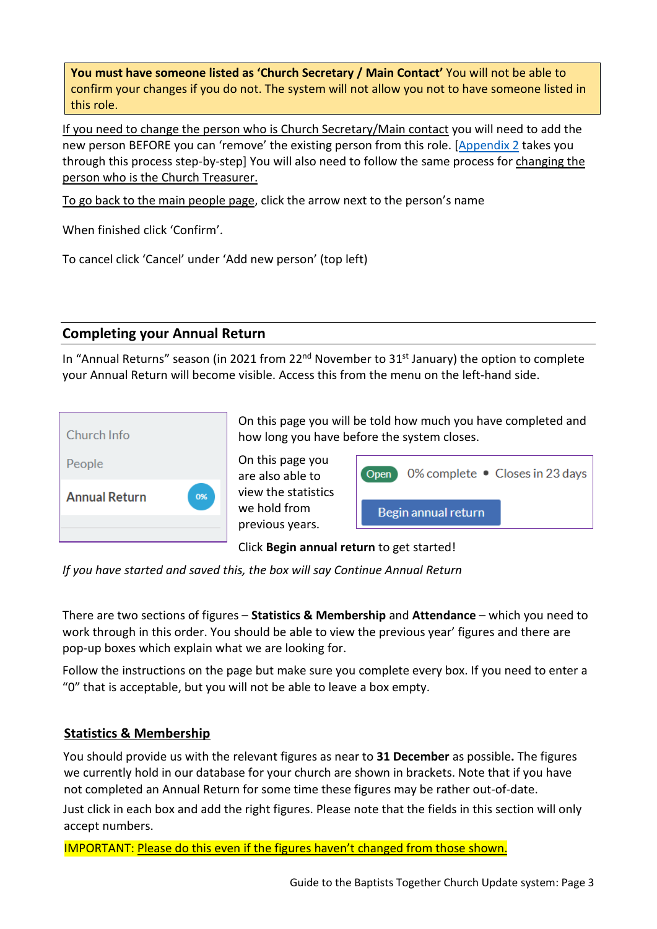**You must have someone listed as 'Church Secretary / Main Contact'** You will not be able to confirm your changes if you do not. The system will not allow you not to have someone listed in this role.

If you need to change the person who is Church Secretary/Main contact you will need to add the new person BEFORE you can 'remove' the existing person from this role. [\[Appendix 2](#page-5-0) takes you through this process step-by-step] You will also need to follow the same process for changing the person who is the Church Treasurer.

To go back to the main people page, click the arrow next to the person's name

When finished click 'Confirm'.

To cancel click 'Cancel' under 'Add new person' (top left)

# <span id="page-2-0"></span>**Completing your Annual Return**

In "Annual Returns" season (in 2021 from 22 $^{nd}$  November to 31<sup>st</sup> January) the option to complete your Annual Return will become visible. Access this from the menu on the left-hand side.



On this page you will be told how much you have completed and how long you have before the system closes.

On this page you are also able to view the statistics we hold from previous years.

|                     | Open 0% complete • Closes in 23 days |
|---------------------|--------------------------------------|
| Begin annual return |                                      |

Click **Begin annual return** to get started!

*If you have started and saved this, the box will say Continue Annual Return*

There are two sections of figures – **Statistics & Membership** and **Attendance** – which you need to work through in this order. You should be able to view the previous year' figures and there are pop-up boxes which explain what we are looking for.

Follow the instructions on the page but make sure you complete every box. If you need to enter a "0" that is acceptable, but you will not be able to leave a box empty.

### **Statistics & Membership**

You should provide us with the relevant figures as near to **31 December** as possible**.** The figures we currently hold in our database for your church are shown in brackets. Note that if you have not completed an Annual Return for some time these figures may be rather out-of-date. Just click in each box and add the right figures. Please note that the fields in this section will only accept numbers.

IMPORTANT: Please do this even if the figures haven't changed from those shown.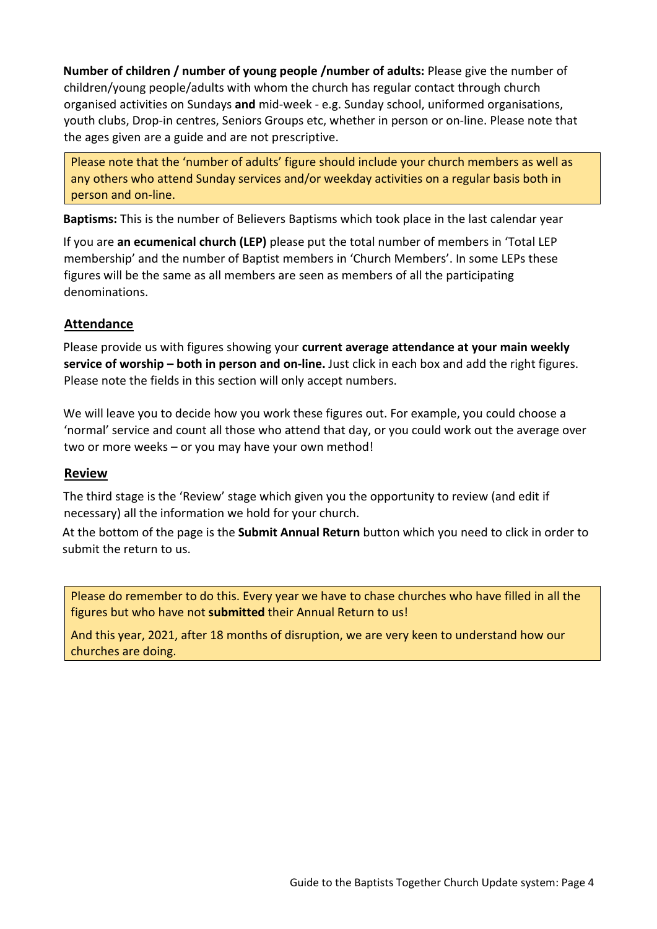**Number of children / number of young people /number of adults:** Please give the number of children/young people/adults with whom the church has regular contact through church organised activities on Sundays **and** mid-week - e.g. Sunday school, uniformed organisations, youth clubs, Drop-in centres, Seniors Groups etc, whether in person or on-line. Please note that the ages given are a guide and are not prescriptive.

Please note that the 'number of adults' figure should include your church members as well as any others who attend Sunday services and/or weekday activities on a regular basis both in person and on-line.

**Baptisms:** This is the number of Believers Baptisms which took place in the last calendar year

If you are **an ecumenical church (LEP)** please put the total number of members in 'Total LEP membership' and the number of Baptist members in 'Church Members'. In some LEPs these figures will be the same as all members are seen as members of all the participating denominations.

### **Attendance**

Please provide us with figures showing your **current average attendance at your main weekly service of worship – both in person and on-line.** Just click in each box and add the right figures. Please note the fields in this section will only accept numbers.

We will leave you to decide how you work these figures out. For example, you could choose a 'normal' service and count all those who attend that day, or you could work out the average over two or more weeks – or you may have your own method!

#### **Review**

The third stage is the 'Review' stage which given you the opportunity to review (and edit if necessary) all the information we hold for your church.

At the bottom of the page is the **Submit Annual Return** button which you need to click in order to submit the return to us.

Please do remember to do this. Every year we have to chase churches who have filled in all the figures but who have not **submitted** their Annual Return to us!

And this year, 2021, after 18 months of disruption, we are very keen to understand how our churches are doing.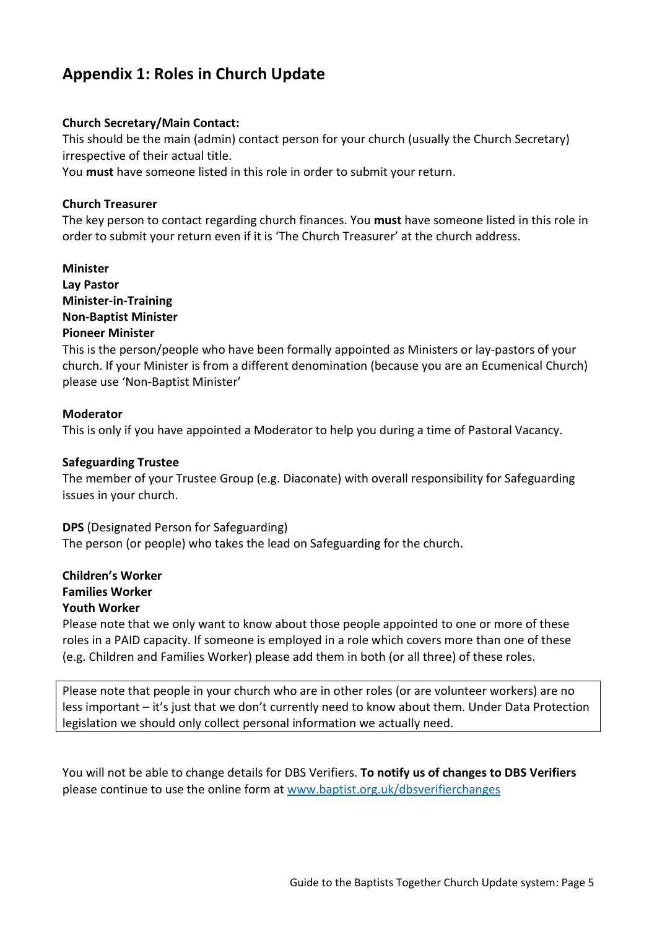# <span id="page-4-0"></span>**Appendix 1: Roles in Church Update**

#### **Church Secretary/Main Contact:**

This should be the main (admin) contact person for your church (usually the Church Secretary) irrespective of their actual title.

You **must** have someone listed in this role in order to submit your return.

#### **Church Treasurer**

The key person to contact regarding church finances. You **must** have someone listed in this role in order to submit your return even if it is 'The Church Treasurer' at the church address.

**Minister Lay Pastor Minister-in-Training Non-Baptist Minister Pioneer Minister**

This is the person/people who have been formally appointed as Ministers or lay-pastors of your church. If your Minister is from a different denomination (because you are an Ecumenical Church) please use 'Non-Baptist Minister'

#### **Moderator**

This is only if you have appointed a Moderator to help you during a time of Pastoral Vacancy.

#### **Safeguarding Trustee**

The member of your Trustee Group (e.g. Diaconate) with overall responsibility for Safeguarding issues in your church.

**DPS** (Designated Person for Safeguarding) The person (or people) who takes the lead on Safeguarding for the church.

# **Children's Worker**

# **Families Worker**

## **Youth Worker**

Please note that we only want to know about those people appointed to one or more of these roles in a PAID capacity. If someone is employed in a role which covers more than one of these (e.g. Children and Families Worker) please add them in both (or all three) of these roles.

Please note that people in your church who are in other roles (or are volunteer workers) are no less important – it's just that we don't currently need to know about them. Under Data Protection legislation we should only collect personal information we actually need.

You will not be able to change details for DBS Verifiers. **To notify us of changes to DBS Verifiers** please continue to use the online form at [www.baptist.org.uk/dbsverifierchanges](http://www.baptist.org.uk/dbsverifierchanges)